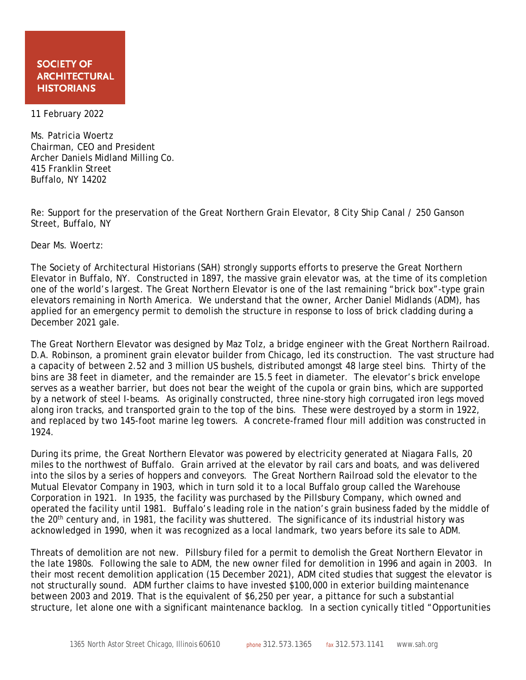## **SOCIETY OF ARCHITECTURAL HISTORIANS**

11 February 2022

Ms. Patricia Woertz Chairman, CEO and President Archer Daniels Midland Milling Co. 415 Franklin Street Buffalo, NY 14202

Re: Support for the preservation of the Great Northern Grain Elevator, 8 City Ship Canal / 250 Ganson Street, Buffalo, NY

Dear Ms. Woertz:

The Society of Architectural Historians (SAH) strongly supports efforts to preserve the Great Northern Elevator in Buffalo, NY. Constructed in 1897, the massive grain elevator was, at the time of its completion one of the world's largest. The Great Northern Elevator is one of the last remaining "brick box"-type grain elevators remaining in North America. We understand that the owner, Archer Daniel Midlands (ADM), has applied for an emergency permit to demolish the structure in response to loss of brick cladding during a December 2021 gale.

The Great Northern Elevator was designed by Maz Tolz, a bridge engineer with the Great Northern Railroad. D.A. Robinson, a prominent grain elevator builder from Chicago, led its construction. The vast structure had a capacity of between 2.52 and 3 million US bushels, distributed amongst 48 large steel bins. Thirty of the bins are 38 feet in diameter, and the remainder are 15.5 feet in diameter. The elevator's brick envelope serves as a weather barrier, but does not bear the weight of the cupola or grain bins, which are supported by a network of steel I-beams. As originally constructed, three nine-story high corrugated iron legs moved along iron tracks, and transported grain to the top of the bins. These were destroyed by a storm in 1922, and replaced by two 145-foot marine leg towers. A concrete-framed flour mill addition was constructed in 1924.

During its prime, the Great Northern Elevator was powered by electricity generated at Niagara Falls, 20 miles to the northwest of Buffalo. Grain arrived at the elevator by rail cars and boats, and was delivered into the silos by a series of hoppers and conveyors. The Great Northern Railroad sold the elevator to the Mutual Elevator Company in 1903, which in turn sold it to a local Buffalo group called the Warehouse Corporation in 1921. In 1935, the facility was purchased by the Pillsbury Company, which owned and operated the facility until 1981. Buffalo's leading role in the nation's grain business faded by the middle of the 20<sup>th</sup> century and, in 1981, the facility was shuttered. The significance of its industrial history was acknowledged in 1990, when it was recognized as a local landmark, two years before its sale to ADM.

Threats of demolition are not new. Pillsbury filed for a permit to demolish the Great Northern Elevator in the late 1980s. Following the sale to ADM, the new owner filed for demolition in 1996 and again in 2003. In their most recent demolition application (15 December 2021), ADM cited studies that suggest the elevator is not structurally sound. ADM further claims to have invested \$100,000 in exterior building maintenance between 2003 and 2019. That is the equivalent of \$6,250 per year, a pittance for such a substantial structure, let alone one with a significant maintenance backlog. In a section cynically titled "Opportunities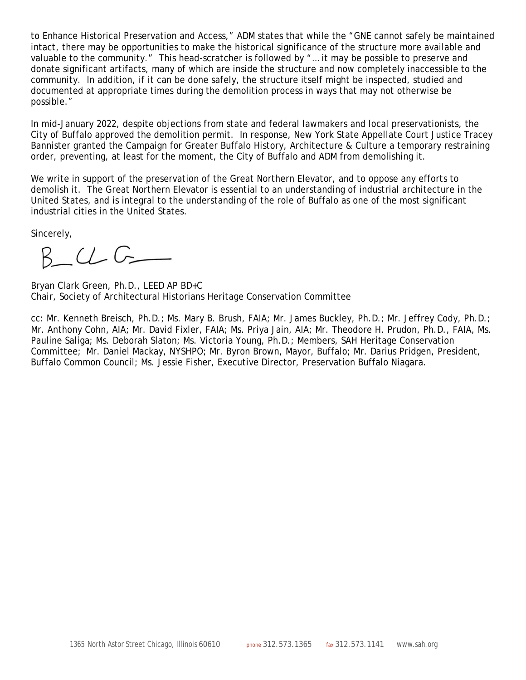to Enhance Historical Preservation and Access," ADM states that while the "GNE cannot safely be maintained intact, there may be opportunities to make the historical significance of the structure more available and valuable to the community." This head-scratcher is followed by "… it may be possible to preserve and donate significant artifacts, many of which are inside the structure and now completely inaccessible to the community. In addition, if it can be done safely, the structure itself might be inspected, studied and documented at appropriate times during the demolition process in ways that may not otherwise be possible."

In mid-January 2022, despite objections from state and federal lawmakers and local preservationists, the City of Buffalo approved the demolition permit. In response, New York State Appellate Court Justice Tracey Bannister granted the Campaign for Greater Buffalo History, Architecture & Culture a temporary restraining order, preventing, at least for the moment, the City of Buffalo and ADM from demolishing it.

We write in support of the preservation of the Great Northern Elevator, and to oppose any efforts to demolish it. The Great Northern Elevator is essential to an understanding of industrial architecture in the United States, and is integral to the understanding of the role of Buffalo as one of the most significant industrial cities in the United States.

Sincerely,

 $B-C-C$ 

Bryan Clark Green, Ph.D., LEED AP BD+C Chair, Society of Architectural Historians Heritage Conservation Committee

cc: Mr. Kenneth Breisch, Ph.D.; Ms. Mary B. Brush, FAIA; Mr. James Buckley, Ph.D.; Mr. Jeffrey Cody, Ph.D.; Mr. Anthony Cohn, AIA; Mr. David Fixler, FAIA; Ms. Priya Jain, AIA; Mr. Theodore H. Prudon, Ph.D., FAIA, Ms. Pauline Saliga; Ms. Deborah Slaton; Ms. Victoria Young, Ph.D.; Members, SAH Heritage Conservation Committee; Mr. Daniel Mackay, NYSHPO; Mr. Byron Brown, Mayor, Buffalo; Mr. Darius Pridgen, President, Buffalo Common Council; Ms. Jessie Fisher, Executive Director, Preservation Buffalo Niagara.